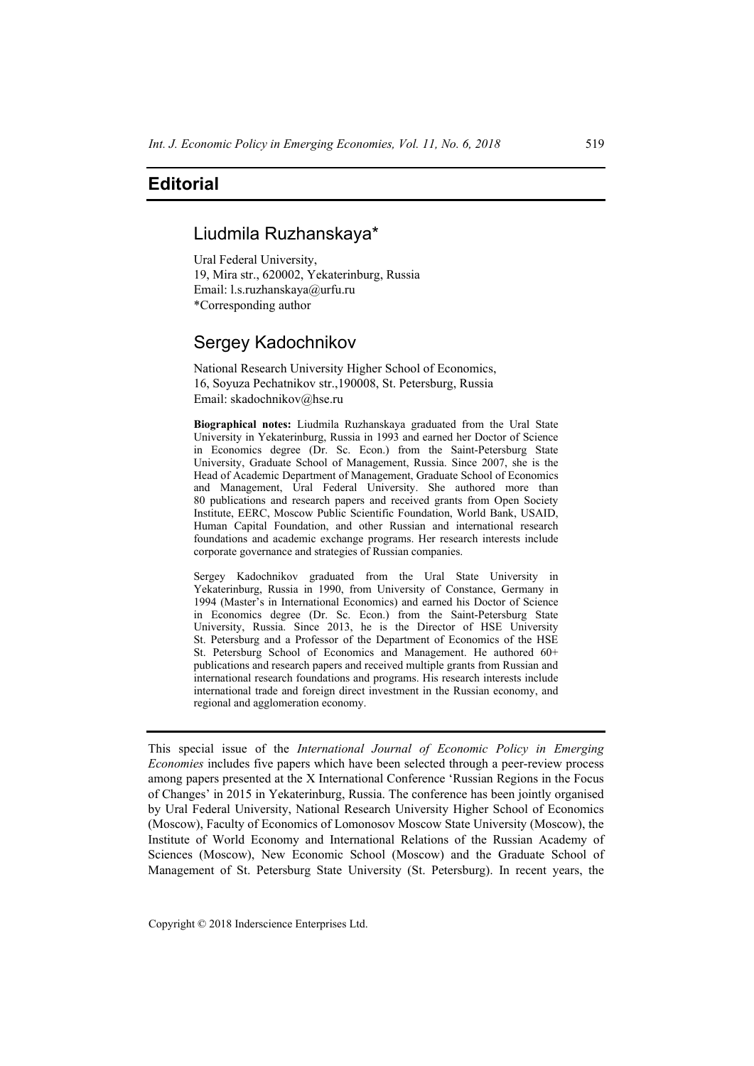# **Editorial**

### Liudmila Ruzhanskaya\*

Ural Federal University, 19, Mira str., 620002, Yekaterinburg, Russia Email: l.s.ruzhanskaya@urfu.ru \*Corresponding author

## Sergey Kadochnikov

National Research University Higher School of Economics, 16, Soyuza Pechatnikov str.,190008, St. Petersburg, Russia Email: skadochnikov@hse.ru

**Biographical notes:** Liudmila Ruzhanskaya graduated from the Ural State University in Yekaterinburg, Russia in 1993 and earned her Doctor of Science in Economics degree (Dr. Sc. Econ.) from the Saint-Petersburg State University, Graduate School of Management, Russia. Since 2007, she is the Head of Academic Department of Management, Graduate School of Economics and Management, Ural Federal University. She authored more than 80 publications and research papers and received grants from Open Society Institute, EERC, Moscow Public Scientific Foundation, World Bank, USAID, Human Capital Foundation, and other Russian and international research foundations and academic exchange programs. Her research interests include corporate governance and strategies of Russian companies.

Sergey Kadochnikov graduated from the Ural State University in Yekaterinburg, Russia in 1990, from University of Constance, Germany in 1994 (Master's in International Economics) and earned his Doctor of Science in Economics degree (Dr. Sc. Econ.) from the Saint-Petersburg State University, Russia. Since 2013, he is the Director of HSE University St. Petersburg and a Professor of the Department of Economics of the HSE St. Petersburg School of Economics and Management. He authored 60+ publications and research papers and received multiple grants from Russian and international research foundations and programs. His research interests include international trade and foreign direct investment in the Russian economy, and regional and agglomeration economy.

This special issue of the *International Journal of Economic Policy in Emerging Economies* includes five papers which have been selected through a peer-review process among papers presented at the X International Conference 'Russian Regions in the Focus of Changes' in 2015 in Yekaterinburg, Russia. The conference has been jointly organised by Ural Federal University, National Research University Higher School of Economics (Moscow), Faculty of Economics of Lomonosov Moscow State University (Moscow), the Institute of World Economy and International Relations of the Russian Academy of Sciences (Moscow), New Economic School (Moscow) and the Graduate School of Management of St. Petersburg State University (St. Petersburg). In recent years, the

Copyright © 2018 Inderscience Enterprises Ltd.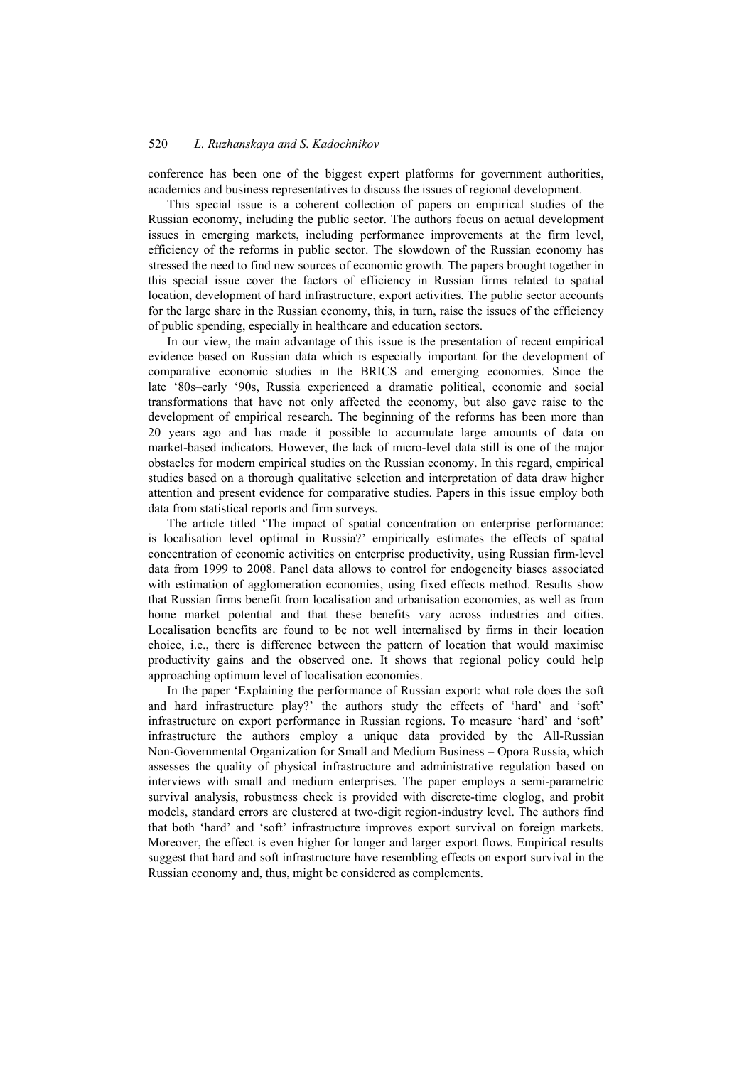#### 520 *L. Ruzhanskaya and S. Kadochnikov*

conference has been one of the biggest expert platforms for government authorities, academics and business representatives to discuss the issues of regional development.

This special issue is a coherent collection of papers on empirical studies of the Russian economy, including the public sector. The authors focus on actual development issues in emerging markets, including performance improvements at the firm level, efficiency of the reforms in public sector. The slowdown of the Russian economy has stressed the need to find new sources of economic growth. The papers brought together in this special issue cover the factors of efficiency in Russian firms related to spatial location, development of hard infrastructure, export activities. The public sector accounts for the large share in the Russian economy, this, in turn, raise the issues of the efficiency of public spending, especially in healthcare and education sectors.

In our view, the main advantage of this issue is the presentation of recent empirical evidence based on Russian data which is especially important for the development of comparative economic studies in the BRICS and emerging economies. Since the late '80s–early '90s, Russia experienced a dramatic political, economic and social transformations that have not only affected the economy, but also gave raise to the development of empirical research. The beginning of the reforms has been more than 20 years ago and has made it possible to accumulate large amounts of data on market-based indicators. However, the lack of micro-level data still is one of the major obstacles for modern empirical studies on the Russian economy. In this regard, empirical studies based on a thorough qualitative selection and interpretation of data draw higher attention and present evidence for comparative studies. Papers in this issue employ both data from statistical reports and firm surveys.

The article titled 'The impact of spatial concentration on enterprise performance: is localisation level optimal in Russia?' empirically estimates the effects of spatial concentration of economic activities on enterprise productivity, using Russian firm-level data from 1999 to 2008. Panel data allows to control for endogeneity biases associated with estimation of agglomeration economies, using fixed effects method. Results show that Russian firms benefit from localisation and urbanisation economies, as well as from home market potential and that these benefits vary across industries and cities. Localisation benefits are found to be not well internalised by firms in their location choice, i.e., there is difference between the pattern of location that would maximise productivity gains and the observed one. It shows that regional policy could help approaching optimum level of localisation economies.

In the paper 'Explaining the performance of Russian export: what role does the soft and hard infrastructure play?' the authors study the effects of 'hard' and 'soft' infrastructure on export performance in Russian regions. To measure 'hard' and 'soft' infrastructure the authors employ a unique data provided by the All-Russian Non-Governmental Organization for Small and Medium Business – Opora Russia, which assesses the quality of physical infrastructure and administrative regulation based on interviews with small and medium enterprises. The paper employs a semi-parametric survival analysis, robustness check is provided with discrete-time cloglog, and probit models, standard errors are clustered at two-digit region-industry level. The authors find that both 'hard' and 'soft' infrastructure improves export survival on foreign markets. Moreover, the effect is even higher for longer and larger export flows. Empirical results suggest that hard and soft infrastructure have resembling effects on export survival in the Russian economy and, thus, might be considered as complements.